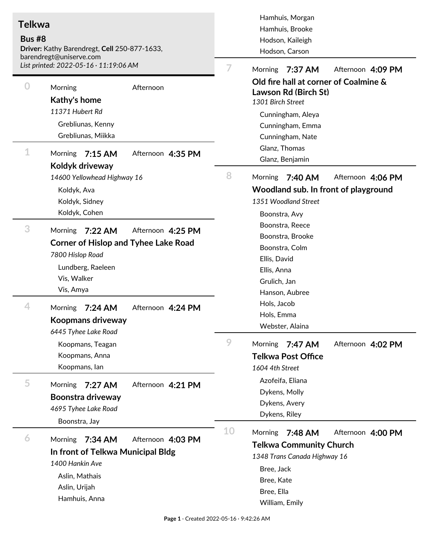| <b>Telkwa</b><br><b>Bus #8</b><br>Driver: Kathy Barendregt, Cell 250-877-1633,<br>barendregt@uniserve.com<br>List printed: 2022-05-16 · 11:19:06 AM |                                                                                                                                                             | Hamhuis, Morgan<br>Hamhuis, Brooke<br>Hodson, Kaileigh<br>Hodson, Carson<br>7<br>Morning<br>7:37 AM<br>Afternoon 4:09 PM |                                                                                                                                                                                                                                                                                                                                                                                                                                                                                  |
|-----------------------------------------------------------------------------------------------------------------------------------------------------|-------------------------------------------------------------------------------------------------------------------------------------------------------------|--------------------------------------------------------------------------------------------------------------------------|----------------------------------------------------------------------------------------------------------------------------------------------------------------------------------------------------------------------------------------------------------------------------------------------------------------------------------------------------------------------------------------------------------------------------------------------------------------------------------|
| 0<br>1                                                                                                                                              | Morning<br>Afternoon<br>Kathy's home<br>11371 Hubert Rd<br>Grebliunas, Kenny<br>Grebliunas, Miikka<br><b>Morning</b><br>$7:15$ AM<br>Afternoon 4:35 PM      |                                                                                                                          | Old fire hall at corner of Coalmine &<br>Lawson Rd (Birch St)<br>1301 Birch Street<br>Cunningham, Aleya<br>Cunningham, Emma<br>Cunningham, Nate<br>Glanz, Thomas<br>Glanz, Benjamin                                                                                                                                                                                                                                                                                              |
|                                                                                                                                                     | Koldyk driveway<br>14600 Yellowhead Highway 16<br>Koldyk, Ava<br>Koldyk, Sidney<br>Koldyk, Cohen                                                            | 8                                                                                                                        | <b>Morning</b><br>7:40 AM<br>Afternoon 4:06 PM<br>Woodland sub. In front of playground<br>1351 Woodland Street<br>Boonstra, Avy<br>Boonstra, Reece<br>Boonstra, Brooke<br>Boonstra, Colm<br>Ellis, David<br>Ellis, Anna<br>Grulich, Jan<br>Hanson, Aubree<br>Hols, Jacob<br>Hols, Emma<br>Webster, Alaina<br>9<br>Morning<br>7:47 AM<br>Afternoon 4:02 PM<br><b>Telkwa Post Office</b><br>1604 4th Street<br>Azofeifa, Eliana<br>Dykens, Molly<br>Dykens, Avery<br>Dykens, Riley |
| 3                                                                                                                                                   | Morning<br>7:22 AM<br>Afternoon 4:25 PM<br><b>Corner of Hislop and Tyhee Lake Road</b><br>7800 Hislop Road<br>Lundberg, Raeleen<br>Vis, Walker<br>Vis, Amya |                                                                                                                          |                                                                                                                                                                                                                                                                                                                                                                                                                                                                                  |
| 4                                                                                                                                                   | <b>Morning</b><br>Afternoon 4:24 PM<br>$7:24$ AM<br>Koopmans driveway<br>6445 Tyhee Lake Road                                                               |                                                                                                                          |                                                                                                                                                                                                                                                                                                                                                                                                                                                                                  |
|                                                                                                                                                     | Koopmans, Teagan<br>Koopmans, Anna<br>Koopmans, lan                                                                                                         |                                                                                                                          |                                                                                                                                                                                                                                                                                                                                                                                                                                                                                  |
| 5                                                                                                                                                   | Morning<br>7:27 AM<br>Afternoon 4:21 PM<br>Boonstra driveway<br>4695 Tyhee Lake Road<br>Boonstra, Jay                                                       |                                                                                                                          |                                                                                                                                                                                                                                                                                                                                                                                                                                                                                  |
| 6                                                                                                                                                   | Morning<br>7:34 AM<br>Afternoon 4:03 PM<br>In front of Telkwa Municipal Bldg<br>1400 Hankin Ave<br>Aslin, Mathais<br>Aslin, Urijah<br>Hamhuis, Anna         | 10                                                                                                                       | Morning<br>7:48 AM<br>Afternoon 4:00 PM<br><b>Telkwa Community Church</b><br>1348 Trans Canada Highway 16<br>Bree, Jack<br>Bree, Kate<br>Bree, Ella<br>William, Emily                                                                                                                                                                                                                                                                                                            |